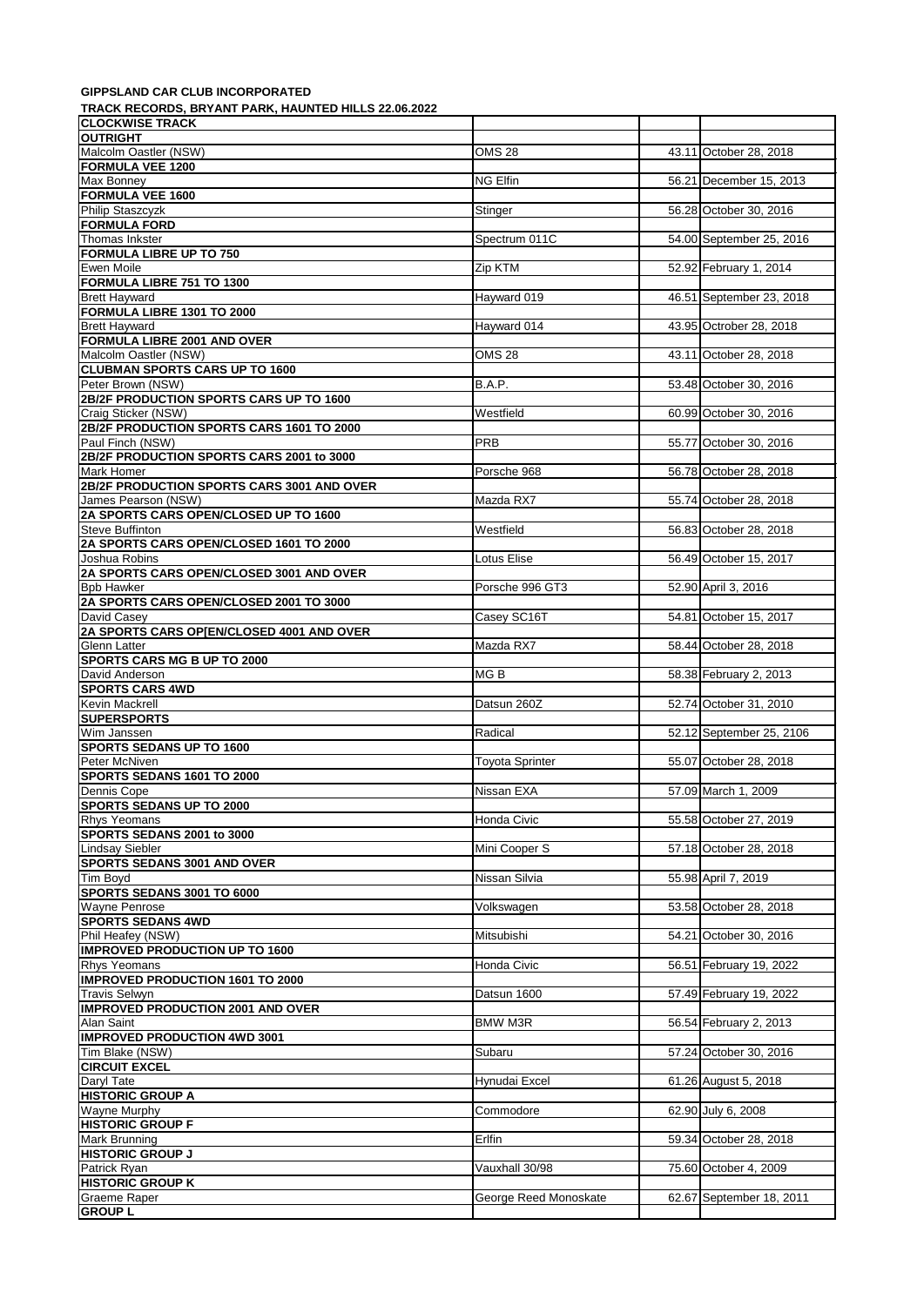## **GIPPSLAND CAR CLUB INCORPORATED**

**TRACK RECORDS, BRYANT PARK, HAUNTED HILLS 22.06.2022**

| IRACN RECORDS, BRTANT PARN, HAUNTED HILLS 22.06.2022              |                        |                          |
|-------------------------------------------------------------------|------------------------|--------------------------|
| <b>CLOCKWISE TRACK</b><br><b>OUTRIGHT</b>                         |                        |                          |
| Malcolm Oastler (NSW)                                             | <b>OMS 28</b>          | 43.11 October 28, 2018   |
| <b>FORMULA VEE 1200</b>                                           |                        |                          |
| Max Bonney                                                        | NG Elfin               | 56.21 December 15, 2013  |
| <b>FORMULA VEE 1600</b>                                           |                        |                          |
| Philip Staszcyzk                                                  | Stinger                | 56.28 October 30, 2016   |
| <b>FORMULA FORD</b>                                               |                        |                          |
| Thomas Inkster                                                    | Spectrum 011C          | 54.00 September 25, 2016 |
| <b>FORMULA LIBRE UP TO 750</b>                                    |                        |                          |
| <b>Ewen Moile</b>                                                 | Zip KTM                | 52.92 February 1, 2014   |
| FORMULA LIBRE 751 TO 1300                                         |                        |                          |
| <b>Brett Hayward</b>                                              | Hayward 019            | 46.51 September 23, 2018 |
| FORMULA LIBRE 1301 TO 2000                                        |                        |                          |
| <b>Brett Hayward</b>                                              | Hayward 014            | 43.95 Octrober 28, 2018  |
| <b>FORMULA LIBRE 2001 AND OVER</b>                                |                        |                          |
| Malcolm Oastler (NSW)                                             | <b>OMS 28</b>          | 43.11 October 28, 2018   |
| <b>CLUBMAN SPORTS CARS UP TO 1600</b>                             |                        |                          |
| Peter Brown (NSW)                                                 | B.A.P.                 | 53.48 October 30, 2016   |
| 2B/2F PRODUCTION SPORTS CARS UP TO 1600                           |                        |                          |
| Craig Sticker (NSW)                                               | Westfield              | 60.99 October 30, 2016   |
| 2B/2F PRODUCTION SPORTS CARS 1601 TO 2000                         |                        |                          |
| Paul Finch (NSW)                                                  | <b>PRB</b>             | 55.77 October 30, 2016   |
| 2B/2F PRODUCTION SPORTS CARS 2001 to 3000<br>Mark Homer           |                        | 56.78 October 28, 2018   |
|                                                                   | Porsche 968            |                          |
| 2B/2F PRODUCTION SPORTS CARS 3001 AND OVER<br>James Pearson (NSW) | Mazda RX7              | 55.74 October 28, 2018   |
|                                                                   |                        |                          |
| 2A SPORTS CARS OPEN/CLOSED UP TO 1600                             |                        |                          |
| Steve Buffinton                                                   | Westfield              | 56.83 October 28, 2018   |
| 2A SPORTS CARS OPEN/CLOSED 1601 TO 2000                           |                        |                          |
| Joshua Robins<br>2A SPORTS CARS OPEN/CLOSED 3001 AND OVER         | Lotus Elise            | 56.49 October 15, 2017   |
| <b>Bpb Hawker</b>                                                 | Porsche 996 GT3        | 52.90 April 3, 2016      |
| 2A SPORTS CARS OPEN/CLOSED 2001 TO 3000                           |                        |                          |
| David Casey                                                       | Casey SC16T            | 54.81 October 15, 2017   |
| 2A SPORTS CARS OP[EN/CLOSED 4001 AND OVER                         |                        |                          |
| Glenn Latter                                                      | Mazda RX7              | 58.44 October 28, 2018   |
| <b>SPORTS CARS MG B UP TO 2000</b>                                |                        |                          |
| David Anderson                                                    | MG B                   | 58.38 February 2, 2013   |
| <b>SPORTS CARS 4WD</b>                                            |                        |                          |
| Kevin Mackrell                                                    | Datsun 260Z            | 52.74 October 31, 2010   |
| <b>SUPERSPORTS</b>                                                |                        |                          |
| Wim Janssen                                                       | Radical                | 52.12 September 25, 2106 |
| <b>SPORTS SEDANS UP TO 1600</b>                                   |                        |                          |
| Peter McNiven                                                     | <b>Toyota Sprinter</b> | 55.07 October 28, 2018   |
| SPORTS SEDANS 1601 TO 2000                                        |                        |                          |
| Dennis Cope                                                       | Nissan EXA             | 57.09 March 1, 2009      |
| <b>SPORTS SEDANS UP TO 2000</b>                                   |                        |                          |
| <b>Rhys Yeomans</b>                                               | Honda Civic            | 55.58 October 27, 2019   |
| SPORTS SEDANS 2001 to 3000                                        |                        |                          |
| <b>Lindsay Siebler</b>                                            | Mini Cooper S          | 57.18 October 28, 2018   |
| <b>SPORTS SEDANS 3001 AND OVER</b>                                |                        |                          |
| Tim Boyd                                                          | Nissan Silvia          | 55.98 April 7, 2019      |
| SPORTS SEDANS 3001 TO 6000                                        |                        |                          |
| <b>Wayne Penrose</b>                                              | Volkswagen             | 53.58 October 28, 2018   |
| <b>SPORTS SEDANS 4WD</b>                                          |                        |                          |
| Phil Heafey (NSW)                                                 | Mitsubishi             | 54.21 October 30, 2016   |
| <b>IMPROVED PRODUCTION UP TO 1600</b>                             |                        |                          |
| Rhys Yeomans                                                      | Honda Civic            | 56.51 February 19, 2022  |
| <b>IMPROVED PRODUCTION 1601 TO 2000</b>                           |                        |                          |
| <b>Travis Selwyn</b>                                              | Datsun 1600            | 57.49 February 19, 2022  |
| <b>IMPROVED PRODUCTION 2001 AND OVER</b>                          |                        |                          |
| Alan Saint                                                        | <b>BMW M3R</b>         | 56.54 February 2, 2013   |
| <b>IMPROVED PRODUCTION 4WD 3001</b>                               |                        |                          |
| Tim Blake (NSW)                                                   | Subaru                 | 57.24 October 30, 2016   |
| <b>CIRCUIT EXCEL</b>                                              |                        |                          |
| Daryl Tate                                                        | Hynudai Excel          | 61.26 August 5, 2018     |
| <b>HISTORIC GROUP A</b>                                           |                        |                          |
| <b>Wayne Murphy</b>                                               | Commodore              | 62.90 July 6, 2008       |
| <b>HISTORIC GROUP F</b>                                           |                        |                          |
| Mark Brunning                                                     | Erlfin                 | 59.34 October 28, 2018   |
| <b>HISTORIC GROUP J</b>                                           |                        |                          |
| Patrick Ryan                                                      | Vauxhall 30/98         | 75.60 October 4, 2009    |
| <b>HISTORIC GROUP K</b>                                           |                        |                          |
| <b>Graeme Raper</b>                                               | George Reed Monoskate  | 62.67 September 18, 2011 |
| <b>GROUP L</b>                                                    |                        |                          |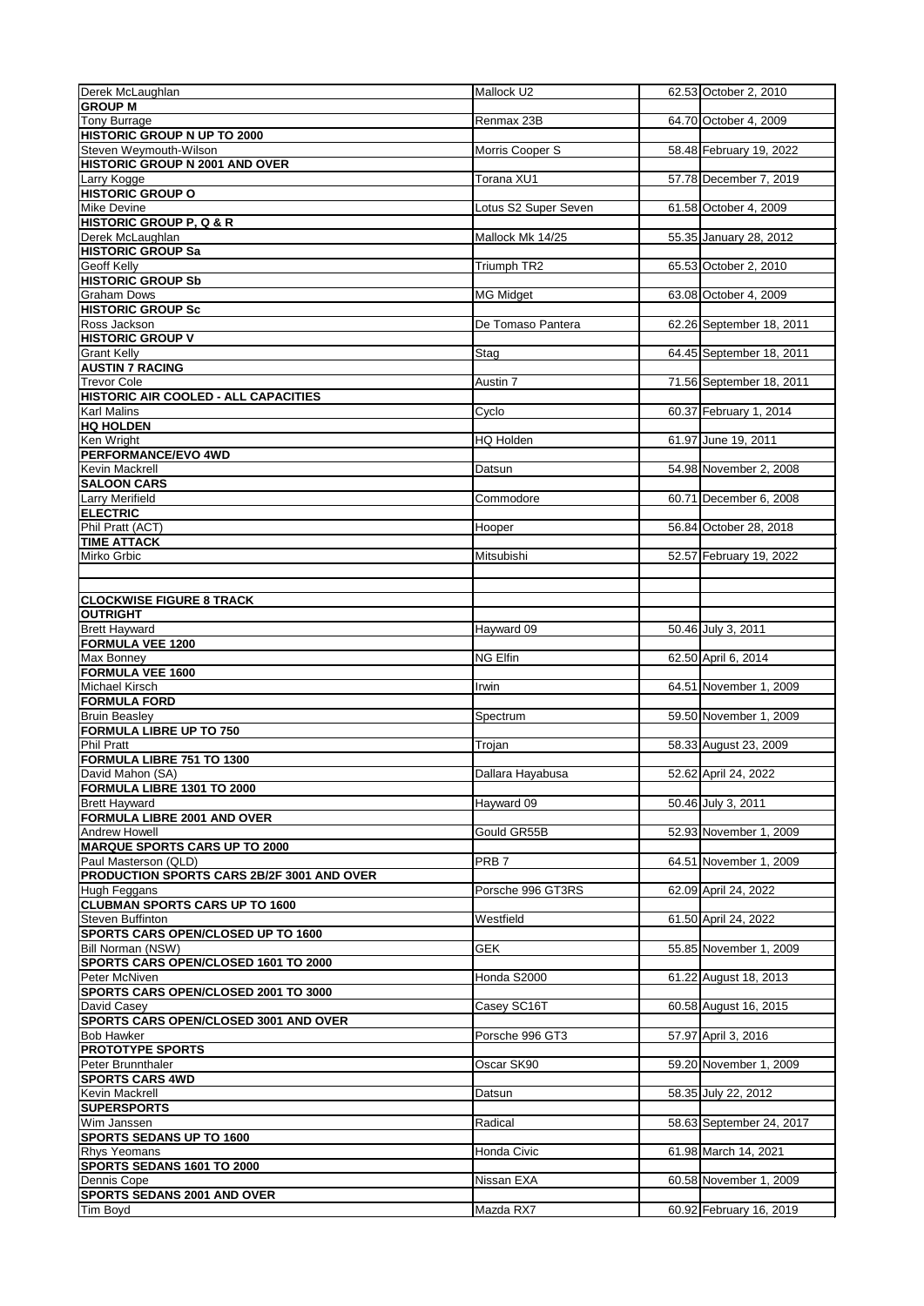| Derek McLaughlan                                                                                                                                                                                                                                                                                                                                                                                                                                                                                                                                                                                                                                                                                                                                                                                                                                                                                                                                                                                                                                                                                          | Mallock U2           | 62.53 October 2, 2010    |
|-----------------------------------------------------------------------------------------------------------------------------------------------------------------------------------------------------------------------------------------------------------------------------------------------------------------------------------------------------------------------------------------------------------------------------------------------------------------------------------------------------------------------------------------------------------------------------------------------------------------------------------------------------------------------------------------------------------------------------------------------------------------------------------------------------------------------------------------------------------------------------------------------------------------------------------------------------------------------------------------------------------------------------------------------------------------------------------------------------------|----------------------|--------------------------|
| <b>GROUP M</b>                                                                                                                                                                                                                                                                                                                                                                                                                                                                                                                                                                                                                                                                                                                                                                                                                                                                                                                                                                                                                                                                                            |                      |                          |
| Tony Burrage                                                                                                                                                                                                                                                                                                                                                                                                                                                                                                                                                                                                                                                                                                                                                                                                                                                                                                                                                                                                                                                                                              | Renmax 23B           | 64.70 October 4, 2009    |
| <b>HISTORIC GROUP N UP TO 2000</b><br>Steven Weymouth-Wilson                                                                                                                                                                                                                                                                                                                                                                                                                                                                                                                                                                                                                                                                                                                                                                                                                                                                                                                                                                                                                                              | Morris Cooper S      | 58.48 February 19, 2022  |
| <b>HISTORIC GROUP N 2001 AND OVER</b>                                                                                                                                                                                                                                                                                                                                                                                                                                                                                                                                                                                                                                                                                                                                                                                                                                                                                                                                                                                                                                                                     |                      |                          |
| Larry Kogge                                                                                                                                                                                                                                                                                                                                                                                                                                                                                                                                                                                                                                                                                                                                                                                                                                                                                                                                                                                                                                                                                               | Torana XU1           | 57.78 December 7, 2019   |
| <b>HISTORIC GROUP O</b>                                                                                                                                                                                                                                                                                                                                                                                                                                                                                                                                                                                                                                                                                                                                                                                                                                                                                                                                                                                                                                                                                   |                      |                          |
| Mike Devine                                                                                                                                                                                                                                                                                                                                                                                                                                                                                                                                                                                                                                                                                                                                                                                                                                                                                                                                                                                                                                                                                               | Lotus S2 Super Seven | 61.58 October 4, 2009    |
| <b>HISTORIC GROUP P, Q &amp; R</b>                                                                                                                                                                                                                                                                                                                                                                                                                                                                                                                                                                                                                                                                                                                                                                                                                                                                                                                                                                                                                                                                        |                      |                          |
| Derek McLaughlan<br><b>HISTORIC GROUP Sa</b>                                                                                                                                                                                                                                                                                                                                                                                                                                                                                                                                                                                                                                                                                                                                                                                                                                                                                                                                                                                                                                                              | Mallock Mk 14/25     | 55.35 January 28, 2012   |
| Geoff Kelly                                                                                                                                                                                                                                                                                                                                                                                                                                                                                                                                                                                                                                                                                                                                                                                                                                                                                                                                                                                                                                                                                               | Triumph TR2          | 65.53 October 2, 2010    |
| <b>HISTORIC GROUP Sb</b>                                                                                                                                                                                                                                                                                                                                                                                                                                                                                                                                                                                                                                                                                                                                                                                                                                                                                                                                                                                                                                                                                  |                      |                          |
| <b>Graham Dows</b>                                                                                                                                                                                                                                                                                                                                                                                                                                                                                                                                                                                                                                                                                                                                                                                                                                                                                                                                                                                                                                                                                        | <b>MG Midget</b>     | 63.08 October 4, 2009    |
| <b>HISTORIC GROUP Sc</b>                                                                                                                                                                                                                                                                                                                                                                                                                                                                                                                                                                                                                                                                                                                                                                                                                                                                                                                                                                                                                                                                                  |                      |                          |
| Ross Jackson                                                                                                                                                                                                                                                                                                                                                                                                                                                                                                                                                                                                                                                                                                                                                                                                                                                                                                                                                                                                                                                                                              | De Tomaso Pantera    | 62.26 September 18, 2011 |
| <b>HISTORIC GROUP V</b>                                                                                                                                                                                                                                                                                                                                                                                                                                                                                                                                                                                                                                                                                                                                                                                                                                                                                                                                                                                                                                                                                   |                      |                          |
| <b>Grant Kelly</b>                                                                                                                                                                                                                                                                                                                                                                                                                                                                                                                                                                                                                                                                                                                                                                                                                                                                                                                                                                                                                                                                                        | Stag                 | 64.45 September 18, 2011 |
| <b>AUSTIN 7 RACING</b><br><b>Trevor Cole</b>                                                                                                                                                                                                                                                                                                                                                                                                                                                                                                                                                                                                                                                                                                                                                                                                                                                                                                                                                                                                                                                              |                      |                          |
| HISTORIC AIR COOLED - ALL CAPACITIES                                                                                                                                                                                                                                                                                                                                                                                                                                                                                                                                                                                                                                                                                                                                                                                                                                                                                                                                                                                                                                                                      | Austin 7             | 71.56 September 18, 2011 |
| <b>Karl Malins</b>                                                                                                                                                                                                                                                                                                                                                                                                                                                                                                                                                                                                                                                                                                                                                                                                                                                                                                                                                                                                                                                                                        | Cyclo                | 60.37 February 1, 2014   |
| <b>HQ HOLDEN</b>                                                                                                                                                                                                                                                                                                                                                                                                                                                                                                                                                                                                                                                                                                                                                                                                                                                                                                                                                                                                                                                                                          |                      |                          |
| Ken Wright                                                                                                                                                                                                                                                                                                                                                                                                                                                                                                                                                                                                                                                                                                                                                                                                                                                                                                                                                                                                                                                                                                | HQ Holden            | 61.97 June 19, 2011      |
| PERFORMANCE/EVO 4WD                                                                                                                                                                                                                                                                                                                                                                                                                                                                                                                                                                                                                                                                                                                                                                                                                                                                                                                                                                                                                                                                                       |                      |                          |
| Kevin Mackrell                                                                                                                                                                                                                                                                                                                                                                                                                                                                                                                                                                                                                                                                                                                                                                                                                                                                                                                                                                                                                                                                                            | Datsun               | 54.98 November 2, 2008   |
| <b>SALOON CARS</b>                                                                                                                                                                                                                                                                                                                                                                                                                                                                                                                                                                                                                                                                                                                                                                                                                                                                                                                                                                                                                                                                                        |                      |                          |
| <b>Larry Merifield</b><br><b>ELECTRIC</b>                                                                                                                                                                                                                                                                                                                                                                                                                                                                                                                                                                                                                                                                                                                                                                                                                                                                                                                                                                                                                                                                 | Commodore            | 60.71 December 6, 2008   |
| Phil Pratt (ACT)                                                                                                                                                                                                                                                                                                                                                                                                                                                                                                                                                                                                                                                                                                                                                                                                                                                                                                                                                                                                                                                                                          | Hooper               | 56.84 October 28, 2018   |
| <b>TIME ATTACK</b>                                                                                                                                                                                                                                                                                                                                                                                                                                                                                                                                                                                                                                                                                                                                                                                                                                                                                                                                                                                                                                                                                        |                      |                          |
| Mirko Grbic                                                                                                                                                                                                                                                                                                                                                                                                                                                                                                                                                                                                                                                                                                                                                                                                                                                                                                                                                                                                                                                                                               | Mitsubishi           | 52.57 February 19, 2022  |
|                                                                                                                                                                                                                                                                                                                                                                                                                                                                                                                                                                                                                                                                                                                                                                                                                                                                                                                                                                                                                                                                                                           |                      |                          |
|                                                                                                                                                                                                                                                                                                                                                                                                                                                                                                                                                                                                                                                                                                                                                                                                                                                                                                                                                                                                                                                                                                           |                      |                          |
| <b>CLOCKWISE FIGURE 8 TRACK</b>                                                                                                                                                                                                                                                                                                                                                                                                                                                                                                                                                                                                                                                                                                                                                                                                                                                                                                                                                                                                                                                                           |                      |                          |
| <b>OUTRIGHT</b>                                                                                                                                                                                                                                                                                                                                                                                                                                                                                                                                                                                                                                                                                                                                                                                                                                                                                                                                                                                                                                                                                           |                      |                          |
| <b>Brett Hayward</b>                                                                                                                                                                                                                                                                                                                                                                                                                                                                                                                                                                                                                                                                                                                                                                                                                                                                                                                                                                                                                                                                                      | Hayward 09           | 50.46 July 3, 2011       |
|                                                                                                                                                                                                                                                                                                                                                                                                                                                                                                                                                                                                                                                                                                                                                                                                                                                                                                                                                                                                                                                                                                           |                      |                          |
|                                                                                                                                                                                                                                                                                                                                                                                                                                                                                                                                                                                                                                                                                                                                                                                                                                                                                                                                                                                                                                                                                                           |                      |                          |
|                                                                                                                                                                                                                                                                                                                                                                                                                                                                                                                                                                                                                                                                                                                                                                                                                                                                                                                                                                                                                                                                                                           | <b>NG Elfin</b>      | 62.50 April 6, 2014      |
|                                                                                                                                                                                                                                                                                                                                                                                                                                                                                                                                                                                                                                                                                                                                                                                                                                                                                                                                                                                                                                                                                                           | Irwin                | 64.51 November 1, 2009   |
|                                                                                                                                                                                                                                                                                                                                                                                                                                                                                                                                                                                                                                                                                                                                                                                                                                                                                                                                                                                                                                                                                                           |                      |                          |
|                                                                                                                                                                                                                                                                                                                                                                                                                                                                                                                                                                                                                                                                                                                                                                                                                                                                                                                                                                                                                                                                                                           | Spectrum             | 59.50 November 1, 2009   |
|                                                                                                                                                                                                                                                                                                                                                                                                                                                                                                                                                                                                                                                                                                                                                                                                                                                                                                                                                                                                                                                                                                           |                      |                          |
|                                                                                                                                                                                                                                                                                                                                                                                                                                                                                                                                                                                                                                                                                                                                                                                                                                                                                                                                                                                                                                                                                                           | Trojan               | 58.33 August 23, 2009    |
|                                                                                                                                                                                                                                                                                                                                                                                                                                                                                                                                                                                                                                                                                                                                                                                                                                                                                                                                                                                                                                                                                                           |                      |                          |
|                                                                                                                                                                                                                                                                                                                                                                                                                                                                                                                                                                                                                                                                                                                                                                                                                                                                                                                                                                                                                                                                                                           | Dallara Hayabusa     | 52.62 April 24, 2022     |
|                                                                                                                                                                                                                                                                                                                                                                                                                                                                                                                                                                                                                                                                                                                                                                                                                                                                                                                                                                                                                                                                                                           |                      |                          |
|                                                                                                                                                                                                                                                                                                                                                                                                                                                                                                                                                                                                                                                                                                                                                                                                                                                                                                                                                                                                                                                                                                           | Hayward 09           | 50.46 July 3, 2011       |
|                                                                                                                                                                                                                                                                                                                                                                                                                                                                                                                                                                                                                                                                                                                                                                                                                                                                                                                                                                                                                                                                                                           | Gould GR55B          | 52.93 November 1, 2009   |
|                                                                                                                                                                                                                                                                                                                                                                                                                                                                                                                                                                                                                                                                                                                                                                                                                                                                                                                                                                                                                                                                                                           |                      |                          |
|                                                                                                                                                                                                                                                                                                                                                                                                                                                                                                                                                                                                                                                                                                                                                                                                                                                                                                                                                                                                                                                                                                           | PRB <sub>7</sub>     | 64.51 November 1, 2009   |
|                                                                                                                                                                                                                                                                                                                                                                                                                                                                                                                                                                                                                                                                                                                                                                                                                                                                                                                                                                                                                                                                                                           |                      |                          |
|                                                                                                                                                                                                                                                                                                                                                                                                                                                                                                                                                                                                                                                                                                                                                                                                                                                                                                                                                                                                                                                                                                           | Porsche 996 GT3RS    | 62.09 April 24, 2022     |
|                                                                                                                                                                                                                                                                                                                                                                                                                                                                                                                                                                                                                                                                                                                                                                                                                                                                                                                                                                                                                                                                                                           |                      |                          |
|                                                                                                                                                                                                                                                                                                                                                                                                                                                                                                                                                                                                                                                                                                                                                                                                                                                                                                                                                                                                                                                                                                           | Westfield            | 61.50 April 24, 2022     |
|                                                                                                                                                                                                                                                                                                                                                                                                                                                                                                                                                                                                                                                                                                                                                                                                                                                                                                                                                                                                                                                                                                           |                      |                          |
|                                                                                                                                                                                                                                                                                                                                                                                                                                                                                                                                                                                                                                                                                                                                                                                                                                                                                                                                                                                                                                                                                                           | <b>GEK</b>           | 55.85 November 1, 2009   |
|                                                                                                                                                                                                                                                                                                                                                                                                                                                                                                                                                                                                                                                                                                                                                                                                                                                                                                                                                                                                                                                                                                           | Honda S2000          | 61.22 August 18, 2013    |
|                                                                                                                                                                                                                                                                                                                                                                                                                                                                                                                                                                                                                                                                                                                                                                                                                                                                                                                                                                                                                                                                                                           |                      |                          |
|                                                                                                                                                                                                                                                                                                                                                                                                                                                                                                                                                                                                                                                                                                                                                                                                                                                                                                                                                                                                                                                                                                           | Casey SC16T          | 60.58 August 16, 2015    |
|                                                                                                                                                                                                                                                                                                                                                                                                                                                                                                                                                                                                                                                                                                                                                                                                                                                                                                                                                                                                                                                                                                           |                      |                          |
|                                                                                                                                                                                                                                                                                                                                                                                                                                                                                                                                                                                                                                                                                                                                                                                                                                                                                                                                                                                                                                                                                                           | Porsche 996 GT3      | 57.97 April 3, 2016      |
|                                                                                                                                                                                                                                                                                                                                                                                                                                                                                                                                                                                                                                                                                                                                                                                                                                                                                                                                                                                                                                                                                                           |                      |                          |
|                                                                                                                                                                                                                                                                                                                                                                                                                                                                                                                                                                                                                                                                                                                                                                                                                                                                                                                                                                                                                                                                                                           | Oscar SK90           | 59.20 November 1, 2009   |
|                                                                                                                                                                                                                                                                                                                                                                                                                                                                                                                                                                                                                                                                                                                                                                                                                                                                                                                                                                                                                                                                                                           |                      |                          |
|                                                                                                                                                                                                                                                                                                                                                                                                                                                                                                                                                                                                                                                                                                                                                                                                                                                                                                                                                                                                                                                                                                           | Datsun               | 58.35 July 22, 2012      |
|                                                                                                                                                                                                                                                                                                                                                                                                                                                                                                                                                                                                                                                                                                                                                                                                                                                                                                                                                                                                                                                                                                           | Radical              |                          |
|                                                                                                                                                                                                                                                                                                                                                                                                                                                                                                                                                                                                                                                                                                                                                                                                                                                                                                                                                                                                                                                                                                           |                      | 58.63 September 24, 2017 |
|                                                                                                                                                                                                                                                                                                                                                                                                                                                                                                                                                                                                                                                                                                                                                                                                                                                                                                                                                                                                                                                                                                           | Honda Civic          | 61.98 March 14, 2021     |
|                                                                                                                                                                                                                                                                                                                                                                                                                                                                                                                                                                                                                                                                                                                                                                                                                                                                                                                                                                                                                                                                                                           |                      |                          |
|                                                                                                                                                                                                                                                                                                                                                                                                                                                                                                                                                                                                                                                                                                                                                                                                                                                                                                                                                                                                                                                                                                           | Nissan EXA           | 60.58 November 1, 2009   |
| FORMULA VEE 1200<br><b>Max Bonney</b><br><b>FORMULA VEE 1600</b><br>Michael Kirsch<br><b>FORMULA FORD</b><br><b>Bruin Beasley</b><br><b>FORMULA LIBRE UP TO 750</b><br><b>Phil Pratt</b><br>FORMULA LIBRE 751 TO 1300<br>David Mahon (SA)<br>FORMULA LIBRE 1301 TO 2000<br><b>Brett Hayward</b><br><b>FORMULA LIBRE 2001 AND OVER</b><br><b>Andrew Howell</b><br><b>MARQUE SPORTS CARS UP TO 2000</b><br>Paul Masterson (QLD)<br>PRODUCTION SPORTS CARS 2B/2F 3001 AND OVER<br>Hugh Feggans<br><b>CLUBMAN SPORTS CARS UP TO 1600</b><br><b>Steven Buffinton</b><br>SPORTS CARS OPEN/CLOSED UP TO 1600<br><b>Bill Norman (NSW)</b><br>SPORTS CARS OPEN/CLOSED 1601 TO 2000<br>Peter McNiven<br>SPORTS CARS OPEN/CLOSED 2001 TO 3000<br>David Casey<br><b>SPORTS CARS OPEN/CLOSED 3001 AND OVER</b><br><b>Bob Hawker</b><br><b>PROTOTYPE SPORTS</b><br>Peter Brunnthaler<br><b>SPORTS CARS 4WD</b><br>Kevin Mackrell<br><b>SUPERSPORTS</b><br>Wim Janssen<br><b>SPORTS SEDANS UP TO 1600</b><br>Rhys Yeomans<br>SPORTS SEDANS 1601 TO 2000<br>Dennis Cope<br><b>SPORTS SEDANS 2001 AND OVER</b><br>Tim Boyd | Mazda RX7            | 60.92 February 16, 2019  |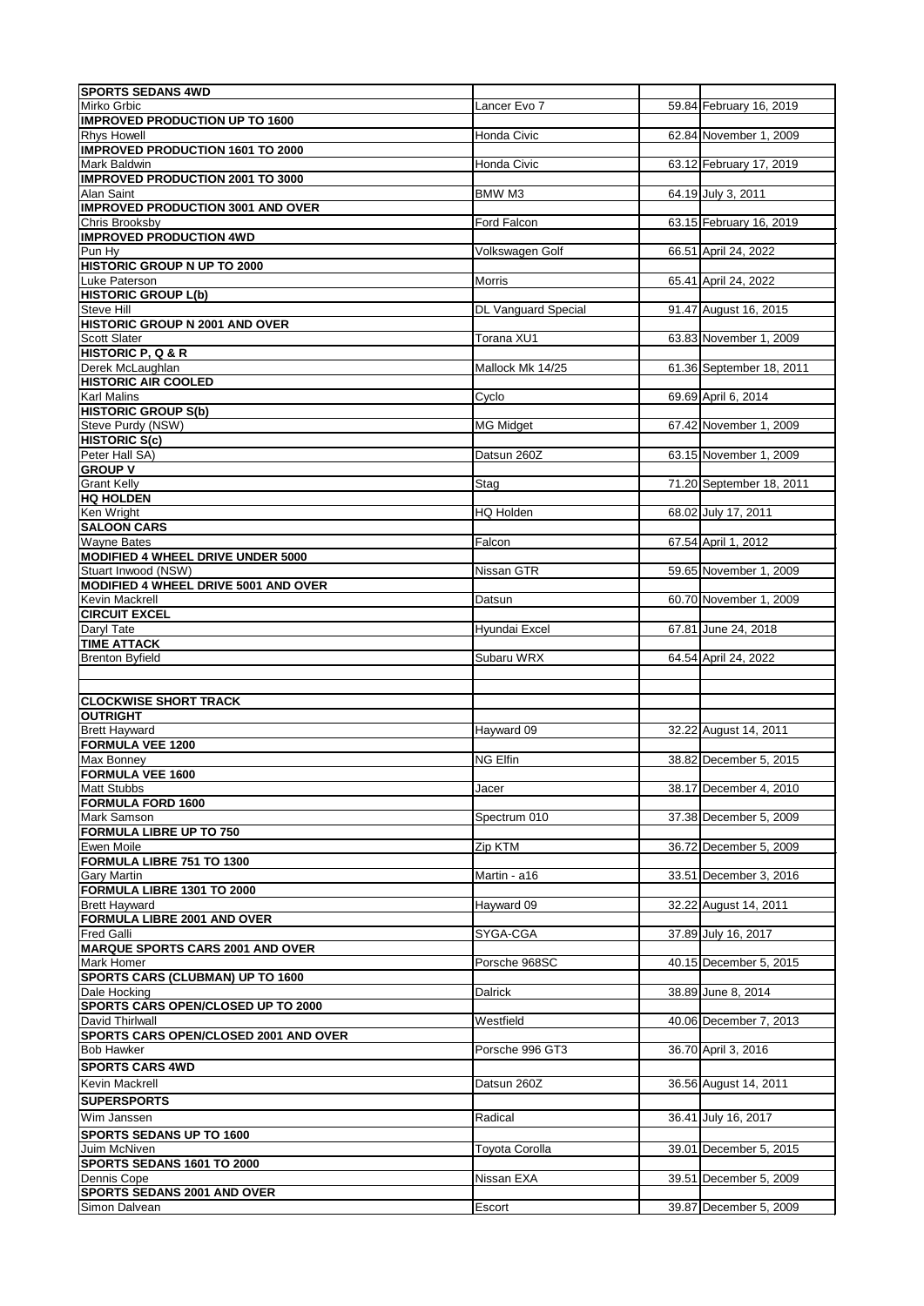| <b>SPORTS SEDANS 4WD</b>                                                                                                                                                                                                                                                                                                                                                                                                                                                                                                                                                                                                                                                                                                   |                            |                          |
|----------------------------------------------------------------------------------------------------------------------------------------------------------------------------------------------------------------------------------------------------------------------------------------------------------------------------------------------------------------------------------------------------------------------------------------------------------------------------------------------------------------------------------------------------------------------------------------------------------------------------------------------------------------------------------------------------------------------------|----------------------------|--------------------------|
| Mirko Grbic                                                                                                                                                                                                                                                                                                                                                                                                                                                                                                                                                                                                                                                                                                                | Lancer Evo 7               | 59.84 February 16, 2019  |
| <b>IMPROVED PRODUCTION UP TO 1600</b><br><b>Rhys Howell</b>                                                                                                                                                                                                                                                                                                                                                                                                                                                                                                                                                                                                                                                                |                            |                          |
| <b>IMPROVED PRODUCTION 1601 TO 2000</b>                                                                                                                                                                                                                                                                                                                                                                                                                                                                                                                                                                                                                                                                                    | Honda Civic                | 62.84 November 1, 2009   |
| Mark Baldwin                                                                                                                                                                                                                                                                                                                                                                                                                                                                                                                                                                                                                                                                                                               | Honda Civic                | 63.12 February 17, 2019  |
| <b>IMPROVED PRODUCTION 2001 TO 3000</b>                                                                                                                                                                                                                                                                                                                                                                                                                                                                                                                                                                                                                                                                                    |                            |                          |
| Alan Saint                                                                                                                                                                                                                                                                                                                                                                                                                                                                                                                                                                                                                                                                                                                 | BMW M3                     | 64.19 July 3, 2011       |
| <b>IMPROVED PRODUCTION 3001 AND OVER</b>                                                                                                                                                                                                                                                                                                                                                                                                                                                                                                                                                                                                                                                                                   |                            |                          |
| Chris Brooksby<br><b>IMPROVED PRODUCTION 4WD</b>                                                                                                                                                                                                                                                                                                                                                                                                                                                                                                                                                                                                                                                                           | Ford Falcon                | 63.15 February 16, 2019  |
| Pun Hy                                                                                                                                                                                                                                                                                                                                                                                                                                                                                                                                                                                                                                                                                                                     | Volkswagen Golf            | 66.51 April 24, 2022     |
| <b>HISTORIC GROUP N UP TO 2000</b>                                                                                                                                                                                                                                                                                                                                                                                                                                                                                                                                                                                                                                                                                         |                            |                          |
| Luke Paterson                                                                                                                                                                                                                                                                                                                                                                                                                                                                                                                                                                                                                                                                                                              | Morris                     | 65.41 April 24, 2022     |
| <b>HISTORIC GROUP L(b)</b>                                                                                                                                                                                                                                                                                                                                                                                                                                                                                                                                                                                                                                                                                                 |                            |                          |
| Steve Hill                                                                                                                                                                                                                                                                                                                                                                                                                                                                                                                                                                                                                                                                                                                 | <b>DL Vanguard Special</b> | 91.47 August 16, 2015    |
| HISTORIC GROUP N 2001 AND OVER                                                                                                                                                                                                                                                                                                                                                                                                                                                                                                                                                                                                                                                                                             |                            |                          |
| Scott Slater<br><b>HISTORIC P, Q &amp; R</b>                                                                                                                                                                                                                                                                                                                                                                                                                                                                                                                                                                                                                                                                               | Torana XU1                 | 63.83 November 1, 2009   |
| Derek McLaughlan                                                                                                                                                                                                                                                                                                                                                                                                                                                                                                                                                                                                                                                                                                           | Mallock Mk 14/25           | 61.36 September 18, 2011 |
| <b>HISTORIC AIR COOLED</b>                                                                                                                                                                                                                                                                                                                                                                                                                                                                                                                                                                                                                                                                                                 |                            |                          |
| <b>Karl Malins</b>                                                                                                                                                                                                                                                                                                                                                                                                                                                                                                                                                                                                                                                                                                         | Cyclo                      | 69.69 April 6, 2014      |
| <b>HISTORIC GROUP S(b)</b>                                                                                                                                                                                                                                                                                                                                                                                                                                                                                                                                                                                                                                                                                                 |                            |                          |
| Steve Purdy (NSW)                                                                                                                                                                                                                                                                                                                                                                                                                                                                                                                                                                                                                                                                                                          | <b>MG Midget</b>           | 67.42 November 1, 2009   |
| <b>HISTORIC S(c)</b>                                                                                                                                                                                                                                                                                                                                                                                                                                                                                                                                                                                                                                                                                                       |                            |                          |
| Peter Hall SA)                                                                                                                                                                                                                                                                                                                                                                                                                                                                                                                                                                                                                                                                                                             | Datsun 260Z                | 63.15 November 1, 2009   |
| <b>GROUP V</b><br><b>Grant Kelly</b>                                                                                                                                                                                                                                                                                                                                                                                                                                                                                                                                                                                                                                                                                       |                            | 71.20 September 18, 2011 |
| <b>HQ HOLDEN</b>                                                                                                                                                                                                                                                                                                                                                                                                                                                                                                                                                                                                                                                                                                           | Stag                       |                          |
| Ken Wright                                                                                                                                                                                                                                                                                                                                                                                                                                                                                                                                                                                                                                                                                                                 | <b>HQ Holden</b>           | 68.02 July 17, 2011      |
| <b>SALOON CARS</b>                                                                                                                                                                                                                                                                                                                                                                                                                                                                                                                                                                                                                                                                                                         |                            |                          |
| <b>Wayne Bates</b>                                                                                                                                                                                                                                                                                                                                                                                                                                                                                                                                                                                                                                                                                                         | Falcon                     | 67.54 April 1, 2012      |
| <b>MODIFIED 4 WHEEL DRIVE UNDER 5000</b>                                                                                                                                                                                                                                                                                                                                                                                                                                                                                                                                                                                                                                                                                   |                            |                          |
| Stuart Inwood (NSW)                                                                                                                                                                                                                                                                                                                                                                                                                                                                                                                                                                                                                                                                                                        | Nissan GTR                 | 59.65 November 1, 2009   |
| MODIFIED 4 WHEEL DRIVE 5001 AND OVER                                                                                                                                                                                                                                                                                                                                                                                                                                                                                                                                                                                                                                                                                       |                            |                          |
| Kevin Mackrell<br><b>CIRCUIT EXCEL</b>                                                                                                                                                                                                                                                                                                                                                                                                                                                                                                                                                                                                                                                                                     | Datsun                     | 60.70 November 1, 2009   |
| Daryl Tate                                                                                                                                                                                                                                                                                                                                                                                                                                                                                                                                                                                                                                                                                                                 | Hyundai Excel              | 67.81 June 24, 2018      |
| <b>TIME ATTACK</b>                                                                                                                                                                                                                                                                                                                                                                                                                                                                                                                                                                                                                                                                                                         |                            |                          |
| <b>Brenton Byfield</b>                                                                                                                                                                                                                                                                                                                                                                                                                                                                                                                                                                                                                                                                                                     | Subaru WRX                 | 64.54 April 24, 2022     |
|                                                                                                                                                                                                                                                                                                                                                                                                                                                                                                                                                                                                                                                                                                                            |                            |                          |
|                                                                                                                                                                                                                                                                                                                                                                                                                                                                                                                                                                                                                                                                                                                            |                            |                          |
|                                                                                                                                                                                                                                                                                                                                                                                                                                                                                                                                                                                                                                                                                                                            |                            |                          |
|                                                                                                                                                                                                                                                                                                                                                                                                                                                                                                                                                                                                                                                                                                                            |                            |                          |
|                                                                                                                                                                                                                                                                                                                                                                                                                                                                                                                                                                                                                                                                                                                            |                            |                          |
|                                                                                                                                                                                                                                                                                                                                                                                                                                                                                                                                                                                                                                                                                                                            | Hayward 09                 | 32.22 August 14, 2011    |
| <b>CLOCKWISE SHORT TRACK</b><br><b>OUTRIGHT</b><br><b>Brett Hayward</b><br>FORMULA VEE 1200                                                                                                                                                                                                                                                                                                                                                                                                                                                                                                                                                                                                                                |                            |                          |
|                                                                                                                                                                                                                                                                                                                                                                                                                                                                                                                                                                                                                                                                                                                            | <b>NG Elfin</b>            | 38.82 December 5, 2015   |
|                                                                                                                                                                                                                                                                                                                                                                                                                                                                                                                                                                                                                                                                                                                            | Jacer                      | 38.17 December 4, 2010   |
| Max Bonney<br><b>FORMULA VEE 1600</b><br><b>Matt Stubbs</b><br><b>FORMULA FORD 1600</b>                                                                                                                                                                                                                                                                                                                                                                                                                                                                                                                                                                                                                                    |                            |                          |
|                                                                                                                                                                                                                                                                                                                                                                                                                                                                                                                                                                                                                                                                                                                            | Spectrum 010               | 37.38 December 5, 2009   |
|                                                                                                                                                                                                                                                                                                                                                                                                                                                                                                                                                                                                                                                                                                                            |                            |                          |
|                                                                                                                                                                                                                                                                                                                                                                                                                                                                                                                                                                                                                                                                                                                            | Zip KTM                    | 36.72 December 5, 2009   |
|                                                                                                                                                                                                                                                                                                                                                                                                                                                                                                                                                                                                                                                                                                                            |                            |                          |
|                                                                                                                                                                                                                                                                                                                                                                                                                                                                                                                                                                                                                                                                                                                            | Martin - a16               | 33.51 December 3, 2016   |
|                                                                                                                                                                                                                                                                                                                                                                                                                                                                                                                                                                                                                                                                                                                            | Hayward 09                 | 32.22 August 14, 2011    |
|                                                                                                                                                                                                                                                                                                                                                                                                                                                                                                                                                                                                                                                                                                                            |                            |                          |
|                                                                                                                                                                                                                                                                                                                                                                                                                                                                                                                                                                                                                                                                                                                            | SYGA-CGA                   | 37.89 July 16, 2017      |
|                                                                                                                                                                                                                                                                                                                                                                                                                                                                                                                                                                                                                                                                                                                            |                            |                          |
|                                                                                                                                                                                                                                                                                                                                                                                                                                                                                                                                                                                                                                                                                                                            | Porsche 968SC              | 40.15 December 5, 2015   |
|                                                                                                                                                                                                                                                                                                                                                                                                                                                                                                                                                                                                                                                                                                                            |                            |                          |
|                                                                                                                                                                                                                                                                                                                                                                                                                                                                                                                                                                                                                                                                                                                            | <b>Dalrick</b>             | 38.89 June 8, 2014       |
|                                                                                                                                                                                                                                                                                                                                                                                                                                                                                                                                                                                                                                                                                                                            |                            |                          |
|                                                                                                                                                                                                                                                                                                                                                                                                                                                                                                                                                                                                                                                                                                                            | Westfield                  | 40.06 December 7, 2013   |
|                                                                                                                                                                                                                                                                                                                                                                                                                                                                                                                                                                                                                                                                                                                            | Porsche 996 GT3            | 36.70 April 3, 2016      |
|                                                                                                                                                                                                                                                                                                                                                                                                                                                                                                                                                                                                                                                                                                                            |                            |                          |
|                                                                                                                                                                                                                                                                                                                                                                                                                                                                                                                                                                                                                                                                                                                            | Datsun 260Z                |                          |
|                                                                                                                                                                                                                                                                                                                                                                                                                                                                                                                                                                                                                                                                                                                            |                            | 36.56 August 14, 2011    |
|                                                                                                                                                                                                                                                                                                                                                                                                                                                                                                                                                                                                                                                                                                                            |                            |                          |
|                                                                                                                                                                                                                                                                                                                                                                                                                                                                                                                                                                                                                                                                                                                            | Radical                    | 36.41 July 16, 2017      |
|                                                                                                                                                                                                                                                                                                                                                                                                                                                                                                                                                                                                                                                                                                                            |                            |                          |
|                                                                                                                                                                                                                                                                                                                                                                                                                                                                                                                                                                                                                                                                                                                            | Toyota Corolla             | 39.01 December 5, 2015   |
|                                                                                                                                                                                                                                                                                                                                                                                                                                                                                                                                                                                                                                                                                                                            | Nissan EXA                 | 39.51 December 5, 2009   |
| <b>Mark Samson</b><br><b>FORMULA LIBRE UP TO 750</b><br>Ewen Moile<br>FORMULA LIBRE 751 TO 1300<br><b>Gary Martin</b><br>FORMULA LIBRE 1301 TO 2000<br><b>Brett Hayward</b><br><b>FORMULA LIBRE 2001 AND OVER</b><br><b>Fred Galli</b><br><b>MARQUE SPORTS CARS 2001 AND OVER</b><br>Mark Homer<br>SPORTS CARS (CLUBMAN) UP TO 1600<br>Dale Hocking<br><b>SPORTS CARS OPEN/CLOSED UP TO 2000</b><br>David Thirlwall<br><b>SPORTS CARS OPEN/CLOSED 2001 AND OVER</b><br><b>Bob Hawker</b><br><b>SPORTS CARS 4WD</b><br>Kevin Mackrell<br><b>ISUPERSPORTS</b><br>Wim Janssen<br>SPORTS SEDANS UP TO 1600<br>Juim McNiven<br>SPORTS SEDANS 1601 TO 2000<br>Dennis Cope<br><b>SPORTS SEDANS 2001 AND OVER</b><br>Simon Dalvean | Escort                     | 39.87 December 5, 2009   |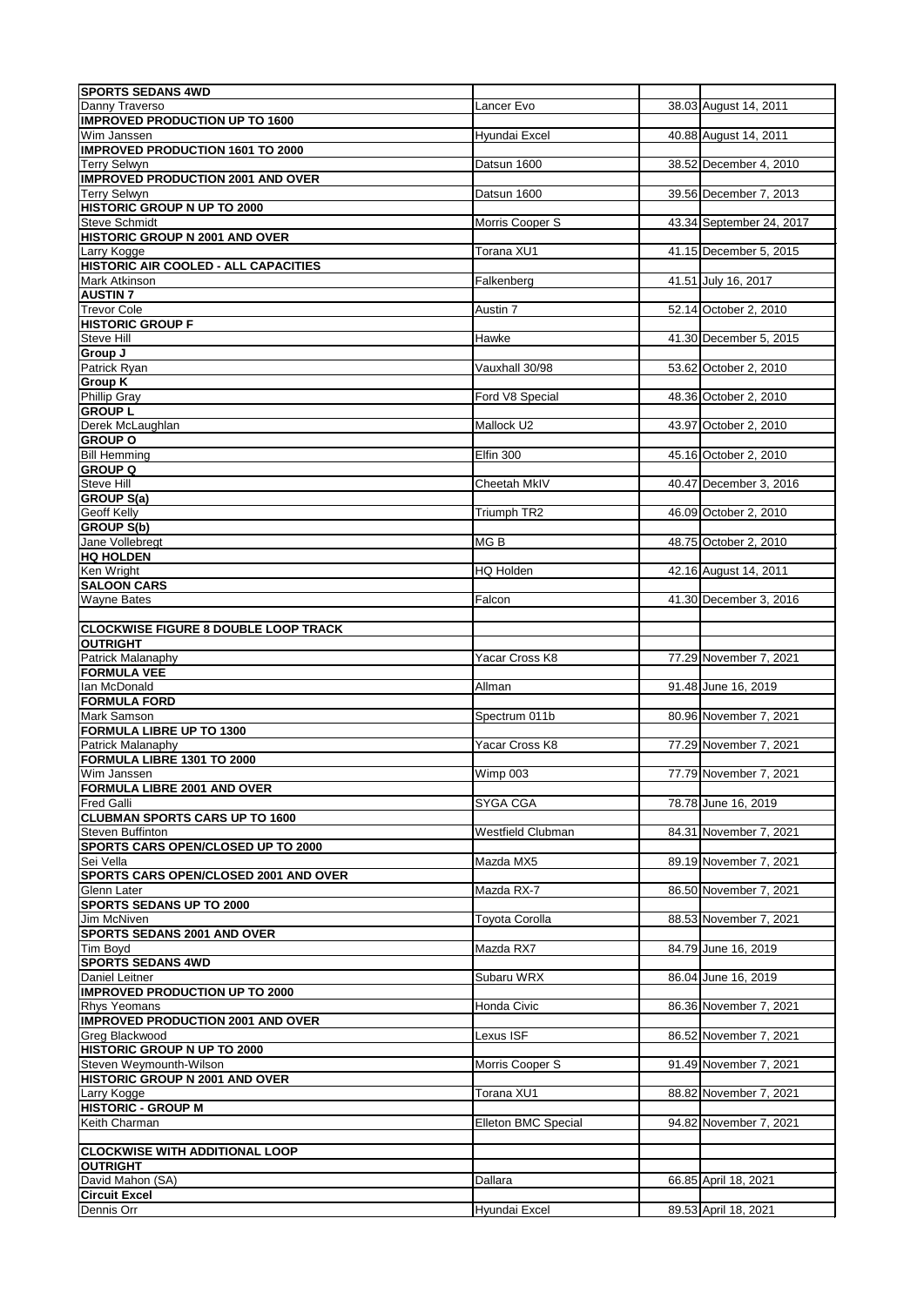| <b>SPORTS SEDANS 4WD</b>                                       |                          |                          |
|----------------------------------------------------------------|--------------------------|--------------------------|
| Danny Traverso                                                 | Lancer Evo               | 38.03 August 14, 2011    |
| <b>IMPROVED PRODUCTION UP TO 1600</b><br>Wim Janssen           |                          | 40.88 August 14, 2011    |
| <b>IMPROVED PRODUCTION 1601 TO 2000</b>                        | Hyundai Excel            |                          |
| <b>Terry Selwyn</b>                                            | Datsun 1600              | 38.52 December 4, 2010   |
| <b>IMPROVED PRODUCTION 2001 AND OVER</b>                       |                          |                          |
| <b>Terry Selwyn</b>                                            | Datsun 1600              | 39.56 December 7, 2013   |
| <b>HISTORIC GROUP N UP TO 2000</b><br>Steve Schmidt            | Morris Cooper S          | 43.34 September 24, 2017 |
| <b>HISTORIC GROUP N 2001 AND OVER</b>                          |                          |                          |
| Larry Kogge                                                    | Torana XU1               | 41.15 December 5, 2015   |
| <b>HISTORIC AIR COOLED - ALL CAPACITIES</b>                    |                          |                          |
| Mark Atkinson                                                  | Falkenberg               | 41.51 July 16, 2017      |
| <b>AUSTIN 7</b>                                                |                          |                          |
| <b>Trevor Cole</b><br><b>HISTORIC GROUP F</b>                  | Austin 7                 | 52.14 October 2, 2010    |
| Steve Hill                                                     | Hawke                    | 41.30 December 5, 2015   |
| Group J                                                        |                          |                          |
| Patrick Ryan                                                   | Vauxhall 30/98           | 53.62 October 2, 2010    |
| <b>Group K</b>                                                 |                          |                          |
| <b>Phillip Gray</b>                                            | Ford V8 Special          | 48.36 October 2, 2010    |
| <b>GROUP L</b><br>Derek McLaughlan                             | Mallock U2               | 43.97 October 2, 2010    |
| <b>GROUP O</b>                                                 |                          |                          |
| <b>Bill Hemming</b>                                            | Elfin 300                | 45.16 October 2, 2010    |
| <b>GROUP Q</b>                                                 |                          |                          |
| Steve Hill                                                     | Cheetah MkIV             | 40.47 December 3, 2016   |
| <b>GROUP S(a)</b>                                              |                          |                          |
| Geoff Kelly                                                    | Triumph TR2              | 46.09 October 2, 2010    |
| <b>GROUP S(b)</b><br>Jane Vollebregt                           | MG <sub>B</sub>          | 48.75 October 2, 2010    |
| <b>HQ HOLDEN</b>                                               |                          |                          |
| Ken Wright                                                     | HQ Holden                | 42.16 August 14, 2011    |
| <b>SALOON CARS</b>                                             |                          |                          |
| <b>Wayne Bates</b>                                             | Falcon                   | 41.30 December 3, 2016   |
|                                                                |                          |                          |
| <b>CLOCKWISE FIGURE 8 DOUBLE LOOP TRACK</b><br><b>OUTRIGHT</b> |                          |                          |
| Patrick Malanaphy                                              | Yacar Cross K8           | 77.29 November 7, 2021   |
| <b>FORMULA VEE</b>                                             |                          |                          |
| Ian McDonald                                                   | Allman                   | 91.48 June 16, 2019      |
| <b>FORMULA FORD</b>                                            |                          |                          |
| Mark Samson                                                    | Spectrum 011b            | 80.96 November 7, 2021   |
| <b>FORMULA LIBRE UP TO 1300</b><br>Patrick Malanaphy           | Yacar Cross K8           | 77.29 November 7, 2021   |
| FORMULA LIBRE 1301 TO 2000                                     |                          |                          |
| Wim Janssen                                                    | Wimp 003                 | 77.79 November 7, 2021   |
| <b>FORMULA LIBRE 2001 AND OVER</b>                             |                          |                          |
| <b>Fred Galli</b>                                              | <b>SYGA CGA</b>          | 78.78 June 16, 2019      |
| <b>CLUBMAN SPORTS CARS UP TO 1600</b>                          |                          |                          |
| Steven Buffinton<br>SPORTS CARS OPEN/CLOSED UP TO 2000         | <b>Westfield Clubman</b> | 84.31 November 7, 2021   |
| Sei Vella                                                      | Mazda MX5                | 89.19 November 7, 2021   |
| SPORTS CARS OPEN/CLOSED 2001 AND OVER                          |                          |                          |
| <b>Glenn Later</b>                                             | Mazda RX-7               | 86.50 November 7, 2021   |
| <b>SPORTS SEDANS UP TO 2000</b>                                |                          |                          |
| Jim McNiven                                                    | Toyota Corolla           | 88.53 November 7, 2021   |
| <b>SPORTS SEDANS 2001 AND OVER</b>                             |                          |                          |
| Tim Boyd<br><b>SPORTS SEDANS 4WD</b>                           | Mazda RX7                | 84.79 June 16, 2019      |
| Daniel Leitner                                                 | Subaru WRX               | 86.04 June 16, 2019      |
| <b>IMPROVED PRODUCTION UP TO 2000</b>                          |                          |                          |
| <b>Rhys Yeomans</b>                                            | Honda Civic              | 86.36 November 7, 2021   |
| <b>IMPROVED PRODUCTION 2001 AND OVER</b>                       |                          |                          |
| Greg Blackwood                                                 | Lexus ISF                | 86.52 November 7, 2021   |
| HISTORIC GROUP N UP TO 2000<br>Steven Weymounth-Wilson         |                          | 91.49 November 7, 2021   |
| <b>HISTORIC GROUP N 2001 AND OVER</b>                          | Morris Cooper S          |                          |
| Larry Kogge                                                    | Torana XU1               | 88.82 November 7, 2021   |
| <b>HISTORIC - GROUP M</b>                                      |                          |                          |
| Keith Charman                                                  | Elleton BMC Special      | 94.82 November 7, 2021   |
|                                                                |                          |                          |
| <b>CLOCKWISE WITH ADDITIONAL LOOP</b>                          |                          |                          |
| <b>OUTRIGHT</b><br>David Mahon (SA)                            | Dallara                  | 66.85 April 18, 2021     |
| <b>Circuit Excel</b>                                           |                          |                          |
| Dennis Orr                                                     | Hyundai Excel            | 89.53 April 18, 2021     |
|                                                                |                          |                          |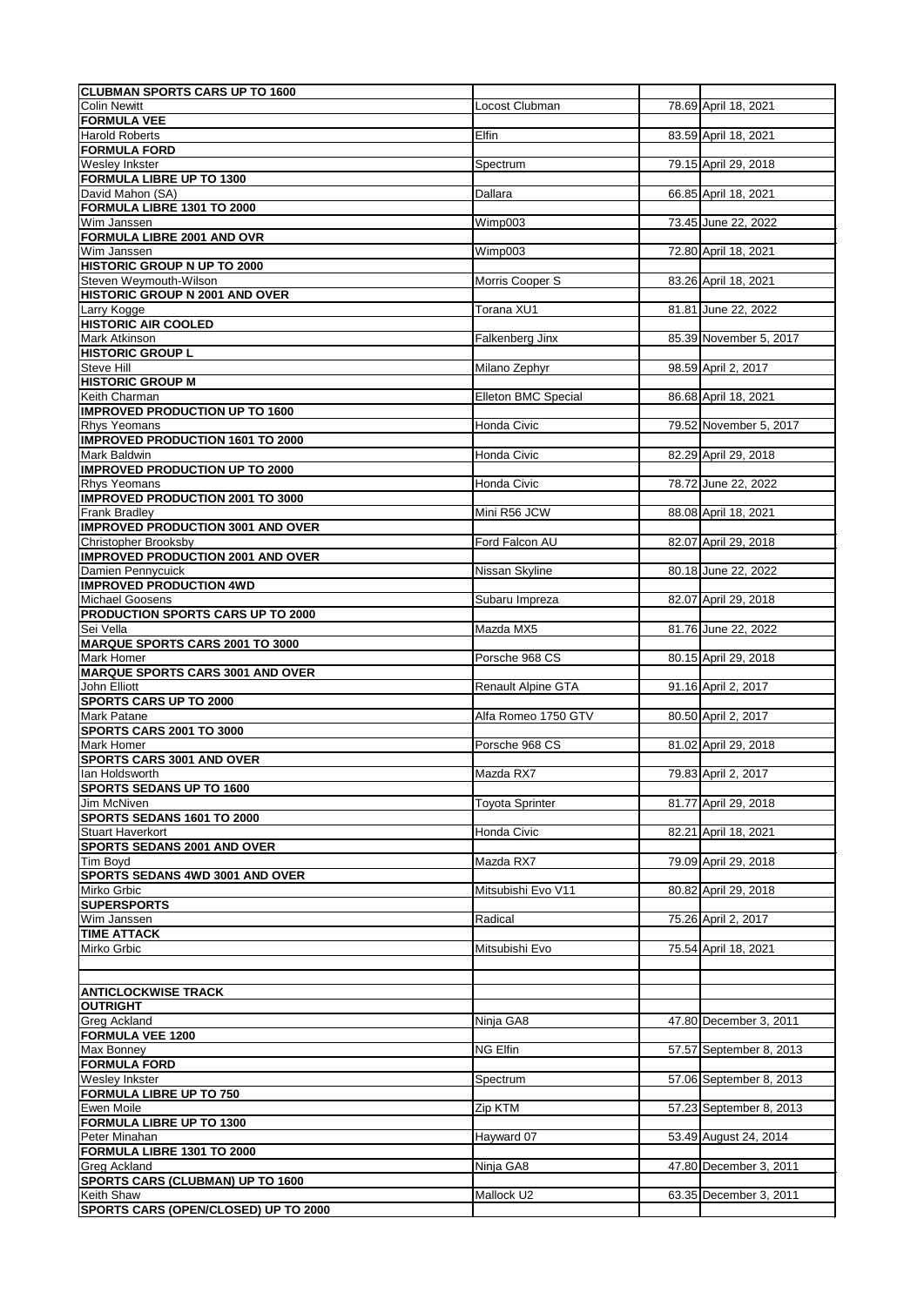| <b>CLUBMAN SPORTS CARS UP TO 1600</b>                            |                            |                         |
|------------------------------------------------------------------|----------------------------|-------------------------|
| <b>Colin Newitt</b>                                              | Locost Clubman             | 78.69 April 18, 2021    |
| <b>FORMULA VEE</b>                                               |                            |                         |
| <b>Harold Roberts</b>                                            | Elfin                      | 83.59 April 18, 2021    |
| <b>FORMULA FORD</b>                                              |                            |                         |
| <b>Wesley Inkster</b>                                            | Spectrum                   | 79.15 April 29, 2018    |
| <b>FORMULA LIBRE UP TO 1300</b>                                  |                            |                         |
| David Mahon (SA)<br>FORMULA LIBRE 1301 TO 2000                   | Dallara                    | 66.85 April 18, 2021    |
| Wim Janssen                                                      | Wimp003                    | 73.45 June 22, 2022     |
| <b>FORMULA LIBRE 2001 AND OVR</b>                                |                            |                         |
| Wim Janssen                                                      | Wimp003                    | 72.80 April 18, 2021    |
| <b>HISTORIC GROUP N UP TO 2000</b>                               |                            |                         |
| Steven Weymouth-Wilson                                           | Morris Cooper S            | 83.26 April 18, 2021    |
| HISTORIC GROUP N 2001 AND OVER                                   |                            |                         |
| Larry Kogge                                                      | Torana XU1                 | 81.81 June 22, 2022     |
| <b>HISTORIC AIR COOLED</b>                                       |                            |                         |
| Mark Atkinson                                                    | Falkenberg Jinx            | 85.39 November 5, 2017  |
| <b>HISTORIC GROUP L</b>                                          |                            |                         |
| Steve Hill                                                       | Milano Zephyr              | 98.59 April 2, 2017     |
| <b>HISTORIC GROUP M</b>                                          |                            |                         |
| Keith Charman                                                    | <b>Elleton BMC Special</b> | 86.68 April 18, 2021    |
| <b>IMPROVED PRODUCTION UP TO 1600</b>                            |                            |                         |
| <b>Rhys Yeomans</b>                                              | Honda Civic                | 79.52 November 5, 2017  |
| <b>IMPROVED PRODUCTION 1601 TO 2000</b>                          |                            |                         |
| Mark Baldwin                                                     | Honda Civic                | 82.29 April 29, 2018    |
| <b>IMPROVED PRODUCTION UP TO 2000</b>                            |                            |                         |
| <b>Rhys Yeomans</b>                                              | Honda Civic                | 78.72 June 22, 2022     |
| <b>IMPROVED PRODUCTION 2001 TO 3000</b>                          |                            |                         |
| Frank Bradley                                                    | Mini R56 JCW               | 88.08 April 18, 2021    |
| <b>IMPROVED PRODUCTION 3001 AND OVER</b>                         |                            |                         |
| <b>Christopher Brooksby</b>                                      | Ford Falcon AU             | 82.07 April 29, 2018    |
| <b>IMPROVED PRODUCTION 2001 AND OVER</b>                         |                            |                         |
| Damien Pennycuick                                                | Nissan Skyline             | 80.18 June 22, 2022     |
| <b>IMPROVED PRODUCTION 4WD</b><br><b>Michael Goosens</b>         | Subaru Impreza             | 82.07 April 29, 2018    |
| PRODUCTION SPORTS CARS UP TO 2000                                |                            |                         |
| Sei Vella                                                        | Mazda MX5                  | 81.76 June 22, 2022     |
|                                                                  |                            |                         |
|                                                                  |                            |                         |
| <b>MARQUE SPORTS CARS 2001 TO 3000</b>                           |                            |                         |
| Mark Homer                                                       | Porsche 968 CS             | 80.15 April 29, 2018    |
| <b>MARQUE SPORTS CARS 3001 AND OVER</b><br>John Elliott          |                            |                         |
| <b>SPORTS CARS UP TO 2000</b>                                    | <b>Renault Alpine GTA</b>  | 91.16 April 2, 2017     |
| <b>Mark Patane</b>                                               | Alfa Romeo 1750 GTV        |                         |
| SPORTS CARS 2001 TO 3000                                         |                            | 80.50 April 2, 2017     |
| Mark Homer                                                       | Porsche 968 CS             | 81.02 April 29, 2018    |
| <b>SPORTS CARS 3001 AND OVER</b>                                 |                            |                         |
| lan Holdsworth                                                   | Mazda RX7                  | 79.83 April 2, 2017     |
| <b>SPORTS SEDANS UP TO 1600</b>                                  |                            |                         |
| Jim McNiven                                                      | <b>Toyota Sprinter</b>     | 81.77 April 29, 2018    |
| SPORTS SEDANS 1601 TO 2000                                       |                            |                         |
| Stuart Haverkort                                                 | Honda Civic                | 82.21 April 18, 2021    |
| SPORTS SEDANS 2001 AND OVER                                      |                            |                         |
| Tim Boyd                                                         | Mazda RX7                  | 79.09 April 29, 2018    |
| SPORTS SEDANS 4WD 3001 AND OVER                                  |                            |                         |
| Mirko Grbic                                                      | Mitsubishi Evo V11         | 80.82 April 29, 2018    |
| <b>SUPERSPORTS</b>                                               |                            |                         |
| Wim Janssen                                                      | Radical                    | 75.26 April 2, 2017     |
| <b>TIME ATTACK</b>                                               |                            |                         |
| Mirko Grbic                                                      | Mitsubishi Evo             | 75.54 April 18, 2021    |
|                                                                  |                            |                         |
|                                                                  |                            |                         |
| <b>ANTICLOCKWISE TRACK</b>                                       |                            |                         |
| <b>OUTRIGHT</b>                                                  |                            |                         |
| Greg Ackland<br><b>FORMULA VEE 1200</b>                          | Ninja GA8                  | 47.80 December 3, 2011  |
|                                                                  | <b>NG Elfin</b>            | 57.57 September 8, 2013 |
| Max Bonney<br><b>FORMULA FORD</b>                                |                            |                         |
| <b>Wesley Inkster</b>                                            | Spectrum                   | 57.06 September 8, 2013 |
| <b>FORMULA LIBRE UP TO 750</b>                                   |                            |                         |
| Ewen Moile                                                       | Zip KTM                    | 57.23 September 8, 2013 |
| <b>FORMULA LIBRE UP TO 1300</b>                                  |                            |                         |
| Peter Minahan                                                    | Hayward 07                 | 53.49 August 24, 2014   |
| FORMULA LIBRE 1301 TO 2000                                       |                            |                         |
| <b>Greg Ackland</b>                                              | Ninja GA8                  | 47.80 December 3, 2011  |
| <b>SPORTS CARS (CLUBMAN) UP TO 1600</b>                          |                            |                         |
| <b>Keith Shaw</b><br><b>SPORTS CARS (OPEN/CLOSED) UP TO 2000</b> | Mallock U2                 | 63.35 December 3, 2011  |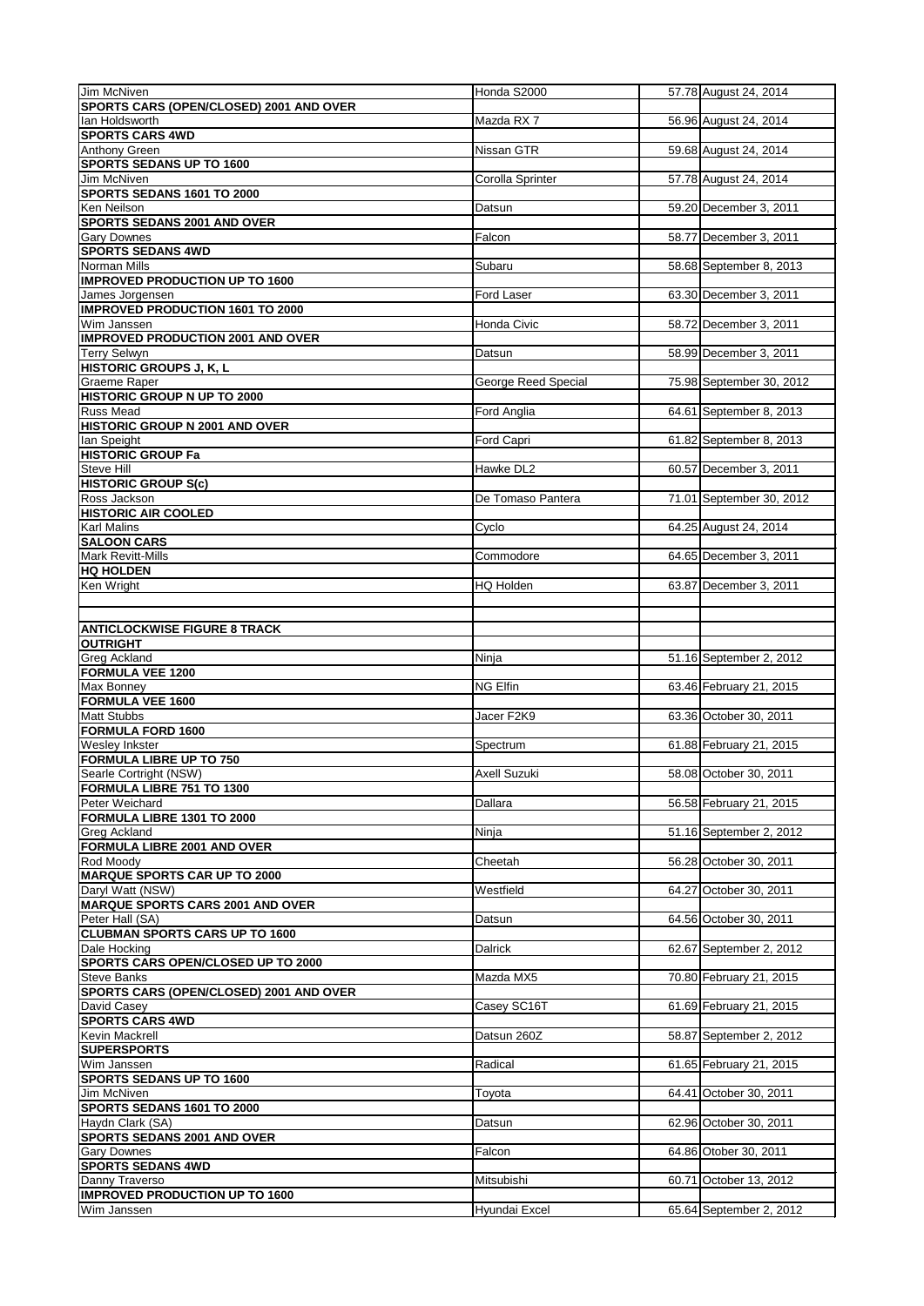| Jim McNiven                                                | Honda S2000         | 57.78 August 24, 2014    |
|------------------------------------------------------------|---------------------|--------------------------|
| SPORTS CARS (OPEN/CLOSED) 2001 AND OVER                    |                     |                          |
| lan Holdsworth<br><b>SPORTS CARS 4WD</b>                   | Mazda RX7           | 56.96 August 24, 2014    |
| Anthony Green                                              | Nissan GTR          | 59.68 August 24, 2014    |
| <b>SPORTS SEDANS UP TO 1600</b>                            |                     |                          |
| Jim McNiven                                                | Corolla Sprinter    | 57.78 August 24, 2014    |
| SPORTS SEDANS 1601 TO 2000                                 |                     |                          |
| Ken Neilson<br>SPORTS SEDANS 2001 AND OVER                 | Datsun              | 59.20 December 3, 2011   |
| <b>Gary Downes</b>                                         | Falcon              | 58.77 December 3, 2011   |
| <b>SPORTS SEDANS 4WD</b>                                   |                     |                          |
| Norman Mills                                               | Subaru              | 58.68 September 8, 2013  |
| <b>IMPROVED PRODUCTION UP TO 1600</b>                      |                     |                          |
| James Jorgensen<br><b>IMPROVED PRODUCTION 1601 TO 2000</b> | Ford Laser          | 63.30 December 3, 2011   |
| Wim Janssen                                                | Honda Civic         | 58.72 December 3, 2011   |
| <b>IMPROVED PRODUCTION 2001 AND OVER</b>                   |                     |                          |
| Terry Selwyn                                               | Datsun              | 58.99 December 3, 2011   |
| <b>HISTORIC GROUPS J, K, L</b>                             |                     |                          |
| Graeme Raper                                               | George Reed Special | 75.98 September 30, 2012 |
| <b>HISTORIC GROUP N UP TO 2000</b>                         |                     |                          |
| <b>Russ Mead</b><br><b>HISTORIC GROUP N 2001 AND OVER</b>  | Ford Anglia         | 64.61 September 8, 2013  |
| lan Speight                                                | Ford Capri          | 61.82 September 8, 2013  |
| <b>HISTORIC GROUP Fa</b>                                   |                     |                          |
| Steve Hill                                                 | Hawke DL2           | 60.57 December 3, 2011   |
| <b>HISTORIC GROUP S(c)</b>                                 |                     |                          |
| Ross Jackson                                               | De Tomaso Pantera   | 71.01 September 30, 2012 |
| <b>HISTORIC AIR COOLED</b><br><b>Karl Malins</b>           |                     | 64.25 August 24, 2014    |
| <b>SALOON CARS</b>                                         | Cyclo               |                          |
| Mark Revitt-Mills                                          | Commodore           | 64.65 December 3, 2011   |
| <b>HQ HOLDEN</b>                                           |                     |                          |
| Ken Wright                                                 | HQ Holden           | 63.87 December 3, 2011   |
|                                                            |                     |                          |
|                                                            |                     |                          |
| <b>ANTICLOCKWISE FIGURE 8 TRACK</b><br><b>OUTRIGHT</b>     |                     |                          |
| <b>Greg Ackland</b>                                        | Ninja               | 51.16 September 2, 2012  |
| <b>FORMULA VEE 1200</b>                                    |                     |                          |
| <b>Max Bonney</b>                                          | <b>NG Elfin</b>     | 63.46 February 21, 2015  |
| <b>FORMULA VEE 1600</b>                                    |                     |                          |
| <b>Matt Stubbs</b><br><b>FORMULA FORD 1600</b>             | Jacer F2K9          | 63.36 October 30, 2011   |
| Wesley Inkster                                             | Spectrum            | 61.88 February 21, 2015  |
| <b>FORMULA LIBRE UP TO 750</b>                             |                     |                          |
| Searle Cortright (NSW)                                     | Axell Suzuki        | 58.08 October 30, 2011   |
| <b>FORMULA LIBRE 751 TO 1300</b>                           |                     |                          |
| Peter Weichard                                             | Dallara             | 56.58 February 21, 2015  |
| FORMULA LIBRE 1301 TO 2000                                 |                     |                          |
| <b>Greg Ackland</b><br>FORMULA LIBRE 2001 AND OVER         | Ninja               | 51.16 September 2, 2012  |
| Rod Moody                                                  | Cheetah             | 56.28 October 30, 2011   |
| <b>MARQUE SPORTS CAR UP TO 2000</b>                        |                     |                          |
| Daryl Watt (NSW)                                           | Westfield           | 64.27 October 30, 2011   |
| <b>MARQUE SPORTS CARS 2001 AND OVER</b>                    |                     |                          |
| Peter Hall (SA)                                            | Datsun              | 64.56 October 30, 2011   |
| <b>CLUBMAN SPORTS CARS UP TO 1600</b><br>Dale Hocking      | <b>Dalrick</b>      | 62.67 September 2, 2012  |
| SPORTS CARS OPEN/CLOSED UP TO 2000                         |                     |                          |
| Steve Banks                                                | Mazda MX5           | 70.80 February 21, 2015  |
| SPORTS CARS (OPEN/CLOSED) 2001 AND OVER                    |                     |                          |
| David Casey                                                | Casey SC16T         | 61.69 February 21, 2015  |
| <b>SPORTS CARS 4WD</b>                                     |                     |                          |
| Kevin Mackrell<br><b>SUPERSPORTS</b>                       | Datsun 260Z         | 58.87 September 2, 2012  |
| Wim Janssen                                                | Radical             | 61.65 February 21, 2015  |
| <b>SPORTS SEDANS UP TO 1600</b>                            |                     |                          |
| Jim McNiven                                                | Toyota              | 64.41 October 30, 2011   |
| SPORTS SEDANS 1601 TO 2000                                 |                     |                          |
| Haydn Clark (SA)                                           | Datsun              | 62.96 October 30, 2011   |
| <b>SPORTS SEDANS 2001 AND OVER</b>                         |                     |                          |
| <b>Gary Downes</b><br><b>SPORTS SEDANS 4WD</b>             | Falcon              | 64.86 Otober 30, 2011    |
| Danny Traverso                                             | Mitsubishi          | 60.71 October 13, 2012   |
| <b>IMPROVED PRODUCTION UP TO 1600</b>                      |                     |                          |
| Wim Janssen                                                | Hyundai Excel       | 65.64 September 2, 2012  |
|                                                            |                     |                          |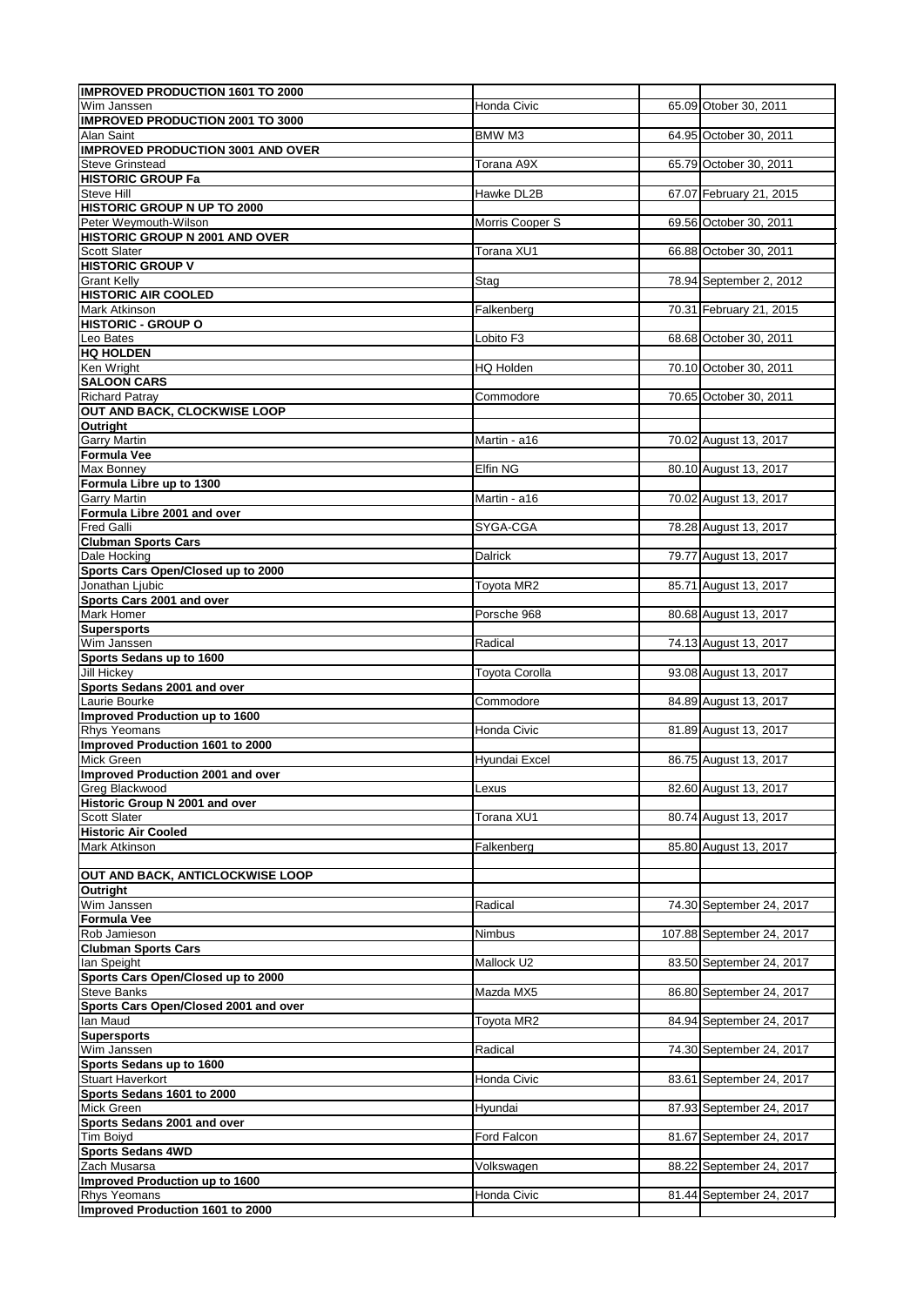| <b>IMPROVED PRODUCTION 1601 TO 2000</b>                                                                                                                                                                                                                                                                                                                                                                                                                                                                                                                                                                                                                                                                                                                                                                                                                    |                       |                           |
|------------------------------------------------------------------------------------------------------------------------------------------------------------------------------------------------------------------------------------------------------------------------------------------------------------------------------------------------------------------------------------------------------------------------------------------------------------------------------------------------------------------------------------------------------------------------------------------------------------------------------------------------------------------------------------------------------------------------------------------------------------------------------------------------------------------------------------------------------------|-----------------------|---------------------------|
| Wim Janssen                                                                                                                                                                                                                                                                                                                                                                                                                                                                                                                                                                                                                                                                                                                                                                                                                                                | Honda Civic           | 65.09 Otober 30, 2011     |
| <b>IMPROVED PRODUCTION 2001 TO 3000</b><br><b>Alan Saint</b>                                                                                                                                                                                                                                                                                                                                                                                                                                                                                                                                                                                                                                                                                                                                                                                               | <b>BMW M3</b>         | 64.95 October 30, 2011    |
| <b>IMPROVED PRODUCTION 3001 AND OVER</b>                                                                                                                                                                                                                                                                                                                                                                                                                                                                                                                                                                                                                                                                                                                                                                                                                   |                       |                           |
| <b>Steve Grinstead</b>                                                                                                                                                                                                                                                                                                                                                                                                                                                                                                                                                                                                                                                                                                                                                                                                                                     | Torana A9X            | 65.79 October 30, 2011    |
| <b>HISTORIC GROUP Fa</b>                                                                                                                                                                                                                                                                                                                                                                                                                                                                                                                                                                                                                                                                                                                                                                                                                                   |                       |                           |
| <b>Steve Hill</b>                                                                                                                                                                                                                                                                                                                                                                                                                                                                                                                                                                                                                                                                                                                                                                                                                                          | Hawke DL2B            | 67.07 February 21, 2015   |
| <b>HISTORIC GROUP N UP TO 2000</b><br>Peter Weymouth-Wilson                                                                                                                                                                                                                                                                                                                                                                                                                                                                                                                                                                                                                                                                                                                                                                                                | Morris Cooper S       | 69.56 October 30, 2011    |
| <b>HISTORIC GROUP N 2001 AND OVER</b>                                                                                                                                                                                                                                                                                                                                                                                                                                                                                                                                                                                                                                                                                                                                                                                                                      |                       |                           |
| Scott Slater                                                                                                                                                                                                                                                                                                                                                                                                                                                                                                                                                                                                                                                                                                                                                                                                                                               | Torana XU1            | 66.88 October 30, 2011    |
| <b>HISTORIC GROUP V</b>                                                                                                                                                                                                                                                                                                                                                                                                                                                                                                                                                                                                                                                                                                                                                                                                                                    |                       |                           |
| <b>Grant Kelly</b>                                                                                                                                                                                                                                                                                                                                                                                                                                                                                                                                                                                                                                                                                                                                                                                                                                         | Stag                  | 78.94 September 2, 2012   |
| <b>HISTORIC AIR COOLED</b><br><b>Mark Atkinson</b>                                                                                                                                                                                                                                                                                                                                                                                                                                                                                                                                                                                                                                                                                                                                                                                                         | Falkenberg            | 70.31 February 21, 2015   |
| <b>HISTORIC - GROUP O</b>                                                                                                                                                                                                                                                                                                                                                                                                                                                                                                                                                                                                                                                                                                                                                                                                                                  |                       |                           |
| Leo Bates                                                                                                                                                                                                                                                                                                                                                                                                                                                                                                                                                                                                                                                                                                                                                                                                                                                  | Lobito F3             | 68.68 October 30, 2011    |
| <b>HQ HOLDEN</b>                                                                                                                                                                                                                                                                                                                                                                                                                                                                                                                                                                                                                                                                                                                                                                                                                                           |                       |                           |
| Ken Wright                                                                                                                                                                                                                                                                                                                                                                                                                                                                                                                                                                                                                                                                                                                                                                                                                                                 | HQ Holden             | 70.10 October 30, 2011    |
| <b>SALOON CARS</b><br><b>Richard Patray</b>                                                                                                                                                                                                                                                                                                                                                                                                                                                                                                                                                                                                                                                                                                                                                                                                                | Commodore             | 70.65 October 30, 2011    |
| OUT AND BACK, CLOCKWISE LOOP                                                                                                                                                                                                                                                                                                                                                                                                                                                                                                                                                                                                                                                                                                                                                                                                                               |                       |                           |
| <b>Outright</b>                                                                                                                                                                                                                                                                                                                                                                                                                                                                                                                                                                                                                                                                                                                                                                                                                                            |                       |                           |
| <b>Garry Martin</b>                                                                                                                                                                                                                                                                                                                                                                                                                                                                                                                                                                                                                                                                                                                                                                                                                                        | Martin - a16          | 70.02 August 13, 2017     |
| Formula Vee                                                                                                                                                                                                                                                                                                                                                                                                                                                                                                                                                                                                                                                                                                                                                                                                                                                |                       |                           |
| Max Bonney<br>Formula Libre up to 1300                                                                                                                                                                                                                                                                                                                                                                                                                                                                                                                                                                                                                                                                                                                                                                                                                     | Elfin NG              | 80.10 August 13, 2017     |
| <b>Garry Martin</b>                                                                                                                                                                                                                                                                                                                                                                                                                                                                                                                                                                                                                                                                                                                                                                                                                                        | Martin - a16          | 70.02 August 13, 2017     |
| Formula Libre 2001 and over                                                                                                                                                                                                                                                                                                                                                                                                                                                                                                                                                                                                                                                                                                                                                                                                                                |                       |                           |
| <b>Fred Galli</b>                                                                                                                                                                                                                                                                                                                                                                                                                                                                                                                                                                                                                                                                                                                                                                                                                                          | SYGA-CGA              | 78.28 August 13, 2017     |
| <b>Clubman Sports Cars</b>                                                                                                                                                                                                                                                                                                                                                                                                                                                                                                                                                                                                                                                                                                                                                                                                                                 |                       |                           |
| Dale Hocking<br>Sports Cars Open/Closed up to 2000                                                                                                                                                                                                                                                                                                                                                                                                                                                                                                                                                                                                                                                                                                                                                                                                         | Dalrick               | 79.77 August 13, 2017     |
| Jonathan Ljubic                                                                                                                                                                                                                                                                                                                                                                                                                                                                                                                                                                                                                                                                                                                                                                                                                                            | Toyota MR2            | 85.71 August 13, 2017     |
| Sports Cars 2001 and over                                                                                                                                                                                                                                                                                                                                                                                                                                                                                                                                                                                                                                                                                                                                                                                                                                  |                       |                           |
| Mark Homer                                                                                                                                                                                                                                                                                                                                                                                                                                                                                                                                                                                                                                                                                                                                                                                                                                                 | Porsche 968           | 80.68 August 13, 2017     |
| <b>Supersports</b>                                                                                                                                                                                                                                                                                                                                                                                                                                                                                                                                                                                                                                                                                                                                                                                                                                         |                       |                           |
| Wim Janssen<br>Sports Sedans up to 1600                                                                                                                                                                                                                                                                                                                                                                                                                                                                                                                                                                                                                                                                                                                                                                                                                    | Radical               | 74.13 August 13, 2017     |
| Jill Hickey                                                                                                                                                                                                                                                                                                                                                                                                                                                                                                                                                                                                                                                                                                                                                                                                                                                | <b>Toyota Corolla</b> | 93.08 August 13, 2017     |
| Sports Sedans 2001 and over                                                                                                                                                                                                                                                                                                                                                                                                                                                                                                                                                                                                                                                                                                                                                                                                                                |                       |                           |
|                                                                                                                                                                                                                                                                                                                                                                                                                                                                                                                                                                                                                                                                                                                                                                                                                                                            |                       |                           |
|                                                                                                                                                                                                                                                                                                                                                                                                                                                                                                                                                                                                                                                                                                                                                                                                                                                            | Commodore             | 84.89 August 13, 2017     |
|                                                                                                                                                                                                                                                                                                                                                                                                                                                                                                                                                                                                                                                                                                                                                                                                                                                            |                       |                           |
|                                                                                                                                                                                                                                                                                                                                                                                                                                                                                                                                                                                                                                                                                                                                                                                                                                                            | Honda Civic           | 81.89 August 13, 2017     |
|                                                                                                                                                                                                                                                                                                                                                                                                                                                                                                                                                                                                                                                                                                                                                                                                                                                            |                       |                           |
|                                                                                                                                                                                                                                                                                                                                                                                                                                                                                                                                                                                                                                                                                                                                                                                                                                                            | Hyundai Excel         | 86.75 August 13, 2017     |
|                                                                                                                                                                                                                                                                                                                                                                                                                                                                                                                                                                                                                                                                                                                                                                                                                                                            | Lexus                 | 82.60 August 13, 2017     |
|                                                                                                                                                                                                                                                                                                                                                                                                                                                                                                                                                                                                                                                                                                                                                                                                                                                            |                       |                           |
|                                                                                                                                                                                                                                                                                                                                                                                                                                                                                                                                                                                                                                                                                                                                                                                                                                                            | Torana XU1            | 80.74 August 13, 2017     |
|                                                                                                                                                                                                                                                                                                                                                                                                                                                                                                                                                                                                                                                                                                                                                                                                                                                            | Falkenberg            | 85.80 August 13, 2017     |
|                                                                                                                                                                                                                                                                                                                                                                                                                                                                                                                                                                                                                                                                                                                                                                                                                                                            |                       |                           |
|                                                                                                                                                                                                                                                                                                                                                                                                                                                                                                                                                                                                                                                                                                                                                                                                                                                            |                       |                           |
|                                                                                                                                                                                                                                                                                                                                                                                                                                                                                                                                                                                                                                                                                                                                                                                                                                                            |                       |                           |
|                                                                                                                                                                                                                                                                                                                                                                                                                                                                                                                                                                                                                                                                                                                                                                                                                                                            | Radical               | 74.30 September 24, 2017  |
|                                                                                                                                                                                                                                                                                                                                                                                                                                                                                                                                                                                                                                                                                                                                                                                                                                                            | <b>Nimbus</b>         | 107.88 September 24, 2017 |
|                                                                                                                                                                                                                                                                                                                                                                                                                                                                                                                                                                                                                                                                                                                                                                                                                                                            |                       |                           |
|                                                                                                                                                                                                                                                                                                                                                                                                                                                                                                                                                                                                                                                                                                                                                                                                                                                            | Mallock U2            | 83.50 September 24, 2017  |
|                                                                                                                                                                                                                                                                                                                                                                                                                                                                                                                                                                                                                                                                                                                                                                                                                                                            |                       |                           |
|                                                                                                                                                                                                                                                                                                                                                                                                                                                                                                                                                                                                                                                                                                                                                                                                                                                            | Mazda MX5             | 86.80 September 24, 2017  |
|                                                                                                                                                                                                                                                                                                                                                                                                                                                                                                                                                                                                                                                                                                                                                                                                                                                            | Toyota MR2            | 84.94 September 24, 2017  |
|                                                                                                                                                                                                                                                                                                                                                                                                                                                                                                                                                                                                                                                                                                                                                                                                                                                            |                       |                           |
|                                                                                                                                                                                                                                                                                                                                                                                                                                                                                                                                                                                                                                                                                                                                                                                                                                                            | Radical               | 74.30 September 24, 2017  |
|                                                                                                                                                                                                                                                                                                                                                                                                                                                                                                                                                                                                                                                                                                                                                                                                                                                            |                       |                           |
|                                                                                                                                                                                                                                                                                                                                                                                                                                                                                                                                                                                                                                                                                                                                                                                                                                                            | Honda Civic           | 83.61 September 24, 2017  |
|                                                                                                                                                                                                                                                                                                                                                                                                                                                                                                                                                                                                                                                                                                                                                                                                                                                            | Hyundai               | 87.93 September 24, 2017  |
|                                                                                                                                                                                                                                                                                                                                                                                                                                                                                                                                                                                                                                                                                                                                                                                                                                                            |                       |                           |
|                                                                                                                                                                                                                                                                                                                                                                                                                                                                                                                                                                                                                                                                                                                                                                                                                                                            | Ford Falcon           | 81.67 September 24, 2017  |
|                                                                                                                                                                                                                                                                                                                                                                                                                                                                                                                                                                                                                                                                                                                                                                                                                                                            |                       |                           |
|                                                                                                                                                                                                                                                                                                                                                                                                                                                                                                                                                                                                                                                                                                                                                                                                                                                            | Volkswagen            | 88.22 September 24, 2017  |
| Laurie Bourke<br>Improved Production up to 1600<br><b>Rhys Yeomans</b><br>Improved Production 1601 to 2000<br>Mick Green<br><b>Improved Production 2001 and over</b><br>Greg Blackwood<br>Historic Group N 2001 and over<br><b>Scott Slater</b><br><b>Historic Air Cooled</b><br>Mark Atkinson<br><b>OUT AND BACK, ANTICLOCKWISE LOOP</b><br><b>Outright</b><br>Wim Janssen<br><b>Formula Vee</b><br>Rob Jamieson<br><b>Clubman Sports Cars</b><br>lan Speight<br>Sports Cars Open/Closed up to 2000<br><b>Steve Banks</b><br>Sports Cars Open/Closed 2001 and over<br>lan Maud<br><b>Supersports</b><br>Wim Janssen<br>Sports Sedans up to 1600<br>Stuart Haverkort<br>Sports Sedans 1601 to 2000<br>Mick Green<br>Sports Sedans 2001 and over<br>Tim Boiyd<br>Sports Sedans 4WD<br>Zach Musarsa<br><b>Improved Production up to 1600</b><br>Rhys Yeomans | Honda Civic           | 81.44 September 24, 2017  |